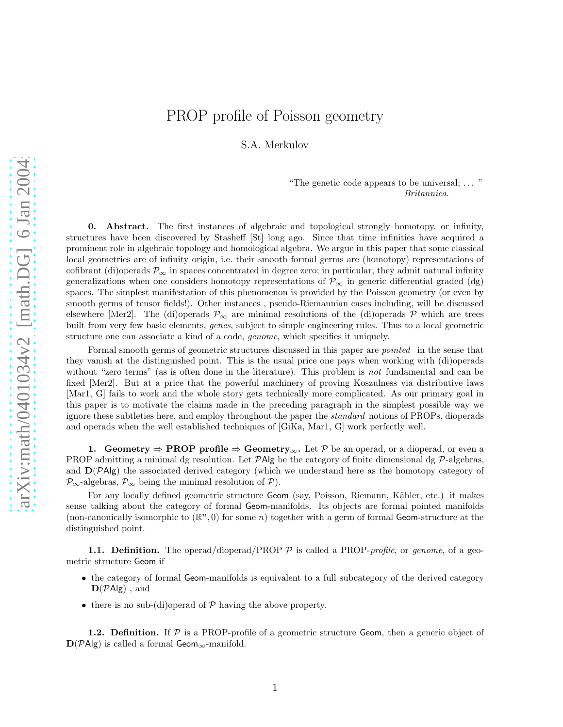## PROP profile of Poisson geometry

S.A. Merkulov

"The genetic code appears to be universal; . . . " Britannica.

0. Abstract. The first instances of algebraic and topological strongly homotopy, or infinity, structures have been discovered by Stasheff [St] long ago. Since that time infinities have acquired a prominent role in algebraic topology and homological algebra. We argue in this paper that some classical local geometries are of infinity origin, i.e. their smooth formal germs are (homotopy) representations of cofibrant (di)operads  $\mathcal{P}_{\infty}$  in spaces concentrated in degree zero; in particular, they admit natural infinity generalizations when one considers homotopy representations of  $\mathcal{P}_{\infty}$  in generic differential graded (dg) spaces. The simplest manifestation of this phenomenon is provided by the Poisson geometry (or even by smooth germs of tensor fields!). Other instances , pseudo-Riemannian cases including, will be discussed elsewhere [Mer2]. The (di)operads  $\mathcal{P}_{\infty}$  are minimal resolutions of the (di)operads P which are trees built from very few basic elements, genes, subject to simple engineering rules. Thus to a local geometric structure one can associate a kind of a code, genome, which specifies it uniquely.

Formal smooth germs of geometric structures discussed in this paper are *pointed* in the sense that they vanish at the distinguished point. This is the usual price one pays when working with (di)operads without "zero terms" (as is often done in the literature). This problem is not fundamental and can be fixed [Mer2]. But at a price that the powerful machinery of proving Koszulness via distributive laws [Mar1, G] fails to work and the whole story gets technically more complicated. As our primary goal in this paper is to motivate the claims made in the preceding paragraph in the simplest possible way we ignore these subtleties here, and employ throughout the paper the standard notions of PROPs, dioperads and operads when the well established techniques of [GiKa, Mar1, G] work perfectly well.

1. Geometry  $\Rightarrow$  PROP profile  $\Rightarrow$  Geometry<sub>∞</sub>. Let P be an operad, or a dioperad, or even a PROP admitting a minimal dg resolution. Let  $\mathcal{P}Alg$  be the category of finite dimensional dg  $\mathcal{P}$ -algebras, and  $D(PAlg)$  the associated derived category (which we understand here as the homotopy category of  $\mathcal{P}_{\infty}$ -algebras,  $\mathcal{P}_{\infty}$  being the minimal resolution of  $\mathcal{P}$ ).

For any locally defined geometric structure Geom (say, Poisson, Riemann, Kähler, etc.) it makes sense talking about the category of formal Geom-manifolds. Its objects are formal pointed manifolds (non-canonically isomorphic to  $(\mathbb{R}^n, 0)$  for some n) together with a germ of formal Geom-structure at the distinguished point.

**1.1. Definition.** The operad/dioperad/PROP  $P$  is called a PROP-*profile*, or *genome*, of a geometric structure Geom if

- the category of formal Geom-manifolds is equivalent to a full subcategory of the derived category  $\mathbf{D}(\mathcal{P}Alg)$ , and
- there is no sub-(di)operad of  $P$  having the above property.

**1.2. Definition.** If  $P$  is a PROP-profile of a geometric structure Geom, then a generic object of  $D(PAlg)$  is called a formal Geom<sub>∞</sub>-manifold.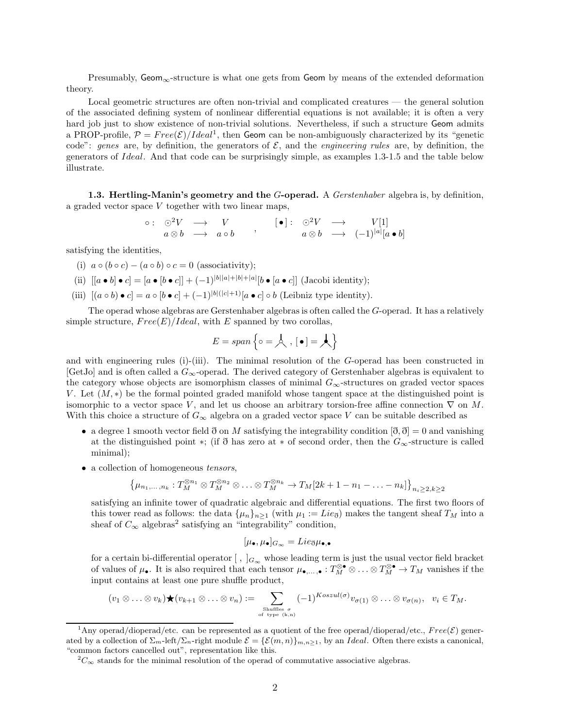Presumably, Geom<sub>∞</sub>-structure is what one gets from Geom by means of the extended deformation theory.

Local geometric structures are often non-trivial and complicated creatures — the general solution of the associated defining system of nonlinear differential equations is not available; it is often a very hard job just to show existence of non-trivial solutions. Nevertheless, if such a structure Geom admits a PROP-profile,  $P = Free(\mathcal{E})/Ideal^1$ , then Geom can be non-ambiguously characterized by its "genetic code": genes are, by definition, the generators of  $\mathcal{E}$ , and the *engineering rules* are, by definition, the generators of Ideal. And that code can be surprisingly simple, as examples 1.3-1.5 and the table below illustrate.

1.3. Hertling-Manin's geometry and the G-operad. A Gerstenhaber algebra is, by definition, a graded vector space V together with two linear maps,

$$
\begin{array}{ccccccc}\n\circ:&\odot^2V&\longrightarrow&V\\
a\otimes b&\longrightarrow&a\circ b&\n\end{array},\n\qquad\n\begin{array}{ccccccc}\n[\bullet]:&\odot^2V&\longrightarrow&V[1]\\
a\otimes b&\longrightarrow&(-1)^{|a|}[a\bullet b]\n\end{array}
$$

satisfying the identities,

- (i)  $a \circ (b \circ c) (a \circ b) \circ c = 0$  (associativity);
- (ii)  $[[a \bullet b] \bullet c] = [a \bullet [b \bullet c]] + (-1)^{|b||a|+|b|+|a|} [b \bullet [a \bullet c]]$  (Jacobi identity);
- (iii)  $[(a \circ b) \bullet c] = a \circ [b \bullet c] + (-1)^{|b|(|c|+1)} [a \bullet c] \circ b$  (Leibniz type identity).

The operad whose algebras are Gerstenhaber algebras is often called the G-operad. It has a relatively simple structure,  $Free(E)/Ideal$ , with E spanned by two corollas,

$$
E = span\left\{\circ = \mathcal{A}, \, \lfloor \bullet \rfloor = \mathcal{A} \right\}
$$

and with engineering rules (i)-(iii). The minimal resolution of the  $G$ -operad has been constructed in  $[GetJo]$  and is often called a  $G_{\infty}$ -operad. The derived category of Gerstenhaber algebras is equivalent to the category whose objects are isomorphism classes of minimal  $G_{\infty}$ -structures on graded vector spaces V. Let  $(M, *)$  be the formal pointed graded manifold whose tangent space at the distinguished point is isomorphic to a vector space V, and let us choose an arbitrary torsion-free affine connection  $\nabla$  on M. With this choice a structure of  $G_{\infty}$  algebra on a graded vector space V can be suitable described as

- a degree 1 smooth vector field  $\eth$  on M satisfying the integrability condition  $[\eth, \eth] = 0$  and vanishing at the distinguished point \*; (if  $\eth$  has zero at \* of second order, then the  $G_{\infty}$ -structure is called minimal);
- a collection of homogeneous *tensors*,

$$
\left\{\mu_{n_1,\ldots,n_k}:T_M^{\otimes n_1}\otimes T_M^{\otimes n_2}\otimes\ldots\otimes T_M^{\otimes n_k}\to T_M[2k+1-n_1-\ldots-n_k]\right\}_{n_i\geq 2,k\geq 2}
$$

satisfying an infinite tower of quadratic algebraic and differential equations. The first two floors of this tower read as follows: the data  $\{\mu_n\}_{n\geq 1}$  (with  $\mu_1 := Lie_{\mathfrak{F}}$ ) makes the tangent sheaf  $T_M$  into a sheaf of  $C_{\infty}$  algebras<sup>2</sup> satisfying an "integrability" condition,

$$
[\mu_{\bullet}, \mu_{\bullet}]_{G_{\infty}} = Lie_{\eth}\mu_{\bullet,\bullet}
$$

for a certain bi-differential operator  $[ , ]_{G_{\infty}}$  whose leading term is just the usual vector field bracket of values of  $\mu_{\bullet}$ . It is also required that each tensor  $\mu_{\bullet,\ldots,\bullet}: T_M^{\otimes \bullet} \otimes \ldots \otimes T_M^{\otimes \bullet} \to T_M$  vanishes if the input contains at least one pure shuffle product,

$$
(v_1 \otimes \ldots \otimes v_k) \bigstar (v_{k+1} \otimes \ldots \otimes v_n) := \sum_{\substack{\text{Shuffies } \sigma \\ \text{of type } (k,n)}} (-1)^{Koszul(\sigma)} v_{\sigma(1)} \otimes \ldots \otimes v_{\sigma(n)}, \quad v_i \in T_M.
$$

<sup>&</sup>lt;sup>1</sup>Any operad/dioperad/etc. can be represented as a quotient of the free operad/dioperad/etc.,  $Free(\mathcal{E})$  generated by a collection of  $\Sigma_m$ -left/ $\Sigma_n$ -right module  $\mathcal{E} = {\mathcal{E}(m,n)}_{m,n \geq 1}$ , by an *Ideal*. Often there exists a canonical, "common factors cancelled out", representation like this.

 ${}^{2}C_{\infty}$  stands for the minimal resolution of the operad of commutative associative algebras.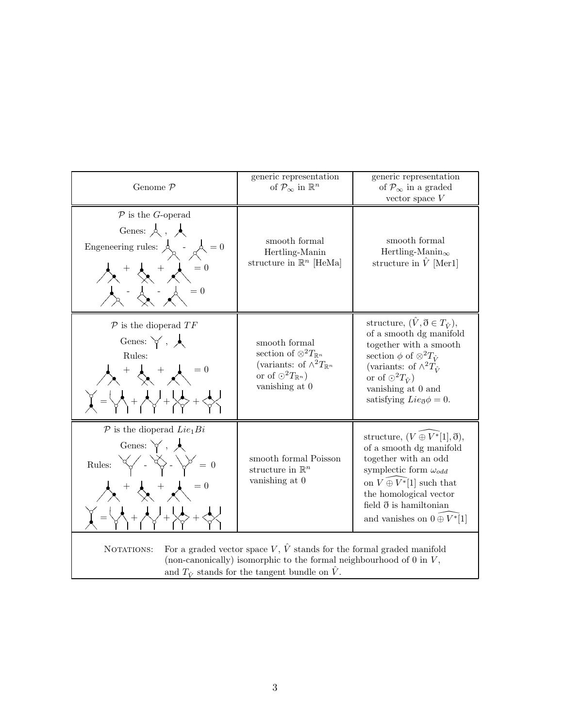| Genome $P$                                                                                                                                                                                                                                                                                                                                         | generic representation<br>of $\mathcal{P}_{\infty}$ in $\mathbb{R}^n$                                                                                    | generic representation<br>of $\mathcal{P}_{\infty}$ in a graded<br>vector space $V$                                                                                                                                                                                                     |
|----------------------------------------------------------------------------------------------------------------------------------------------------------------------------------------------------------------------------------------------------------------------------------------------------------------------------------------------------|----------------------------------------------------------------------------------------------------------------------------------------------------------|-----------------------------------------------------------------------------------------------------------------------------------------------------------------------------------------------------------------------------------------------------------------------------------------|
| $P$ is the G-operad<br>Genes: $\lambda$ , $\lambda$<br>Engeneering rules: $\stackrel{\mathbf{1}}{\mathcal{A}}$ - $\stackrel{\mathbf{1}}{\mathcal{A}}=0$<br>$\lambda$ + $\lambda$ + $\lambda$ = 0<br>$\,=\,0$                                                                                                                                       | smooth formal<br>Hertling-Manin<br>structure in $\mathbb{R}^n$ [HeMa]                                                                                    | smooth formal<br>Hertling-Manin <sub><math>\infty</math></sub><br>structure in $\hat{V}$ [Mer1]                                                                                                                                                                                         |
| $\mathcal P$ is the dioperad $TF$<br>Genes: $\forall$ , $\land$<br>Rules:<br>$\lambda + \lambda = 0$<br>$\begin{pmatrix} 1 & 0 \\ 0 & 1 \end{pmatrix} = \begin{pmatrix} 1 & 0 \\ 0 & 1 \end{pmatrix} + \begin{pmatrix} 1 & 0 \\ 0 & 1 \end{pmatrix} + \begin{pmatrix} 1 & 0 \\ 0 & 1 \end{pmatrix} + \begin{pmatrix} 1 & 0 \\ 0 & 1 \end{pmatrix}$ | smooth formal<br>section of $\otimes^2 T_{\mathbb{R}^n}$<br>(variants: of $\wedge^2 T_{\mathbb{R}^n}$<br>or of $O^2T_{\mathbb{R}^n}$ )<br>vanishing at 0 | structure, $(\hat{V}, \eth \in T_{\hat{V}})$ ,<br>of a smooth dg manifold<br>together with a smooth<br>section $\phi$ of $\otimes^2 T_{\hat{V}}$<br>(variants: of $\wedge^2 T_{\hat{V}}$<br>or of $\odot^2 T_{\hat{V}}$<br>vanishing at 0 and<br>satisfying $Lie_{\mathfrak{F}}\phi=0.$ |
| $\mathcal{P}$ is the dioperad $Lie_1 Bi$<br>Genes: $\forall$ , $\land$<br>Rules: $\forall \swarrow - \forall \searrow - \forall \searrow = 0$<br>$\lambda^+ \lambda^-$                                                                                                                                                                             | smooth formal Poisson<br>structure in $\mathbb{R}^n$<br>vanishing at 0                                                                                   | structure, $(V \oplus V^*[1], \eth),$<br>of a smooth dg manifold<br>together with an odd<br>symplectic form $\omega_{odd}$<br>on $V \oplus V^*[1]$ such that<br>the homological vector<br>field $\eth$ is hamiltonian<br>and vanishes on $0 \oplus V^*$ [1]                             |
| For a graded vector space V, $\hat{V}$ stands for the formal graded manifold<br>NOTATIONS:<br>(non-canonically) isomorphic to the formal neighbourhood of $0$ in $V$ ,<br>and $T_{\hat{V}}$ stands for the tangent bundle on $\hat{V}$ .                                                                                                           |                                                                                                                                                          |                                                                                                                                                                                                                                                                                         |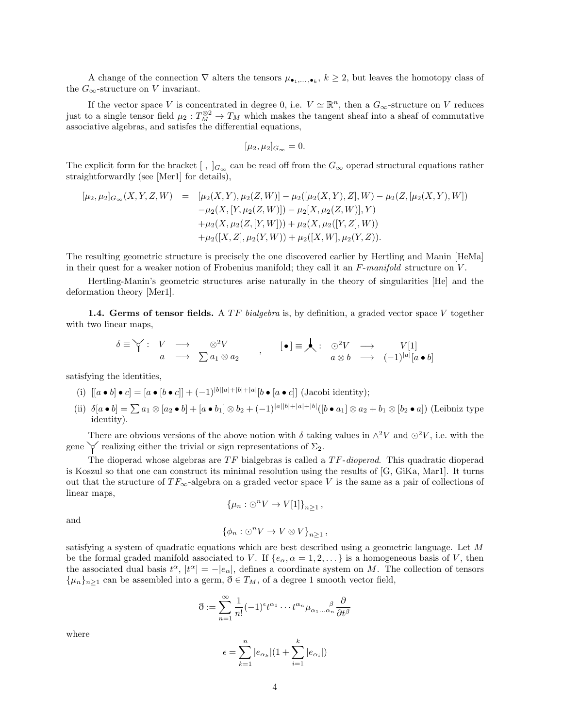A change of the connection  $\nabla$  alters the tensors  $\mu_{\bullet_1,\ldots,\bullet_k}$ ,  $k\geq 2$ , but leaves the homotopy class of the  $G_{\infty}$ -structure on V invariant.

If the vector space V is concentrated in degree 0, i.e.  $V \simeq \mathbb{R}^n$ , then a  $G_{\infty}$ -structure on V reduces just to a single tensor field  $\mu_2: T_M^{\otimes 2} \to T_M$  which makes the tangent sheaf into a sheaf of commutative associative algebras, and satisfes the differential equations,

$$
[\mu_2, \mu_2]_{G_{\infty}} = 0.
$$

The explicit form for the bracket  $[ , ]_{G_{\infty}}$  can be read off from the  $G_{\infty}$  operad structural equations rather straightforwardly (see [Mer1] for details),

$$
[\mu_2, \mu_2]_{G_{\infty}}(X, Y, Z, W) = [\mu_2(X, Y), \mu_2(Z, W)] - \mu_2([\mu_2(X, Y), Z], W) - \mu_2(Z, [\mu_2(X, Y), W]) - \mu_2(X, [Y, \mu_2(Z, W)]) - \mu_2[X, \mu_2(Z, W)], Y) + \mu_2(X, \mu_2(Z, [Y, W])) + \mu_2(X, \mu_2([Y, Z], W)) + \mu_2([X, Z], \mu_2(Y, W)) + \mu_2([X, W], \mu_2(Y, Z)).
$$

The resulting geometric structure is precisely the one discovered earlier by Hertling and Manin [HeMa] in their quest for a weaker notion of Frobenius manifold; they call it an  $F\text{-}manifold$  structure on V.

Hertling-Manin's geometric structures arise naturally in the theory of singularities [He] and the deformation theory [Mer1].

1.4. Germs of tensor fields. A TF bialgebra is, by definition, a graded vector space V together with two linear maps,

$$
\delta \equiv \forall : V \longrightarrow \otimes^2 V \na \longrightarrow \sum a_1 \otimes a_2 , \qquad [\bullet] \equiv \bigstar : \otimes^2 V \longrightarrow V[1] \na \otimes b \longrightarrow (-1)^{|a|} [a \bullet b]
$$

satisfying the identities,

- (i)  $[[a \bullet b] \bullet c] = [a \bullet [b \bullet c]] + (-1)^{|b||a|+|b|+|a|} [b \bullet [a \bullet c]]$  (Jacobi identity);
- (ii)  $\delta[a \bullet b] = \sum a_1 \otimes [a_2 \bullet b] + [a \bullet b_1] \otimes b_2 + (-1)^{|a||b|+|a|+|b|} ([b \bullet a_1] \otimes a_2 + b_1 \otimes [b_2 \bullet a])$  (Leibniz type identity).

There are obvious versions of the above notion with  $\delta$  taking values in  $\wedge^2 V$  and  $\odot^2 V$ , i.e. with the gene  $\checkmark$  realizing either the trivial or sign representations of  $\Sigma_2$ .

The dioperad whose algebras are  $TF$  bialgebras is called a  $TF\text{-}dioperal$ . This quadratic dioperad is Koszul so that one can construct its minimal resolution using the results of [G, GiKa, Mar1]. It turns out that the structure of  $TF_{\infty}$ -algebra on a graded vector space V is the same as a pair of collections of linear maps,

$$
\{\mu_n : \bigcirc^n V \to V[1]\}_{n \ge 1},
$$

and

$$
\{\phi_n:\bigcirc^n V\to V\otimes V\}_{n\geq 1},
$$

satisfying a system of quadratic equations which are best described using a geometric language. Let M be the formal graded manifold associated to V. If  $\{e_\alpha, \alpha = 1, 2, \ldots\}$  is a homogeneous basis of V, then the associated dual basis  $t^{\alpha}$ ,  $|t^{\alpha}| = -|e_{\alpha}|$ , defines a coordinate system on M. The collection of tensors  $\{\mu_n\}_{n>1}$  can be assembled into a germ,  $\eth \in T_M$ , of a degree 1 smooth vector field,

$$
\mathfrak{d} := \sum_{n=1}^{\infty} \frac{1}{n!} (-1)^{\epsilon} t^{\alpha_1} \cdots t^{\alpha_n} \mu_{\alpha_1 \ldots \alpha_n} \frac{\partial}{\partial t^{\beta}}
$$

where

$$
\epsilon = \sum_{k=1}^{n} |e_{\alpha_k}| (1 + \sum_{i=1}^{k} |e_{\alpha_i}|)
$$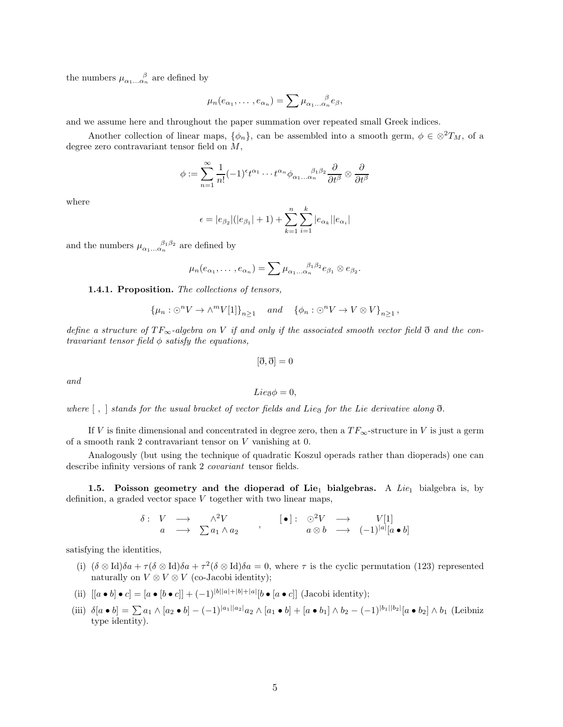the numbers  $\mu_{\alpha_1...\alpha_n}^{\qquad \beta}$  are defined by

$$
\mu_n(e_{\alpha_1},\ldots,e_{\alpha_n})=\sum \mu_{\alpha_1\ldots\alpha_n}e_{\beta},
$$

and we assume here and throughout the paper summation over repeated small Greek indices.

Another collection of linear maps,  $\{\phi_n\}$ , can be assembled into a smooth germ,  $\phi \in \otimes^2 T_M$ , of a degree zero contravariant tensor field on M,

$$
\phi := \sum_{n=1}^{\infty} \frac{1}{n!} (-1)^{\epsilon} t^{\alpha_1} \cdots t^{\alpha_n} \phi_{\alpha_1 \ldots \alpha_n}{}^{\beta_1 \beta_2} \frac{\partial}{\partial t^{\beta}} \otimes \frac{\partial}{\partial t^{\beta}}
$$

where

$$
\epsilon = |e_{\beta_2}|(|e_{\beta_1}| + 1) + \sum_{k=1}^n \sum_{i=1}^k |e_{\alpha_k}||e_{\alpha_i}|
$$

and the numbers  $\mu_{\alpha_1...\alpha_n}^{\beta_1\beta_2}$  are defined by

$$
\mu_n(e_{\alpha_1},\ldots,e_{\alpha_n})=\sum \mu_{\alpha_1\ldots\alpha_n}^{\qquad \qquad \beta_1\beta_2}e_{\beta_1}\otimes e_{\beta_2}.
$$

## 1.4.1. Proposition. The collections of tensors,

$$
\{\mu_n : \odot^n V \to \wedge^m V[1]\}_{n \ge 1} \quad and \quad \{\phi_n : \odot^n V \to V \otimes V\}_{n \ge 1},
$$

define a structure of  $TF_\infty$ -algebra on V if and only if the associated smooth vector field  $\eth$  and the contravariant tensor field  $\phi$  satisfy the equations,

$$
[\eth,\eth]=0
$$

and

Lie<sub> $\bar{\alpha}\phi = 0$ ,</sub>

where  $[ , ]$  stands for the usual bracket of vector fields and Lie<sub>d</sub> for the Lie derivative along  $\eth$ .

If V is finite dimensional and concentrated in degree zero, then a  $TF_{\infty}$ -structure in V is just a germ of a smooth rank 2 contravariant tensor on V vanishing at 0.

Analogously (but using the technique of quadratic Koszul operads rather than dioperads) one can describe infinity versions of rank 2 *covariant* tensor fields.

1.5. Poisson geometry and the dioperad of Lie<sub>1</sub> bialgebras. A Lie<sub>1</sub> bialgebra is, by definition, a graded vector space  $V$  together with two linear maps,

$$
\begin{array}{ccccccccc}\n\delta: & V & \longrightarrow & \wedge^2 V & & & \textbf{[•]}: & \odot^2 V & \longrightarrow & V[1] \\
a & \longrightarrow & \sum a_1 \wedge a_2 & & & a \otimes b & \longrightarrow & (-1)^{|a|}[a \bullet b]\n\end{array}
$$

satisfying the identities,

- (i)  $(\delta \otimes \text{Id})\delta a + \tau(\delta \otimes \text{Id})\delta a + \tau^2(\delta \otimes \text{Id})\delta a = 0$ , where  $\tau$  is the cyclic permutation (123) represented naturally on  $V \otimes V \otimes V$  (co-Jacobi identity);
- (ii)  $[[a \bullet b] \bullet c] = [a \bullet [b \bullet c]] + (-1)^{|b||a|+|b|+|a|} [b \bullet [a \bullet c]]$  (Jacobi identity);
- (iii)  $\delta[a \bullet b] = \sum a_1 \wedge [a_2 \bullet b] (-1)^{|a_1||a_2|} a_2 \wedge [a_1 \bullet b] + [a \bullet b_1] \wedge b_2 (-1)^{|b_1||b_2|} [a \bullet b_2] \wedge b_1$  (Leibniz type identity).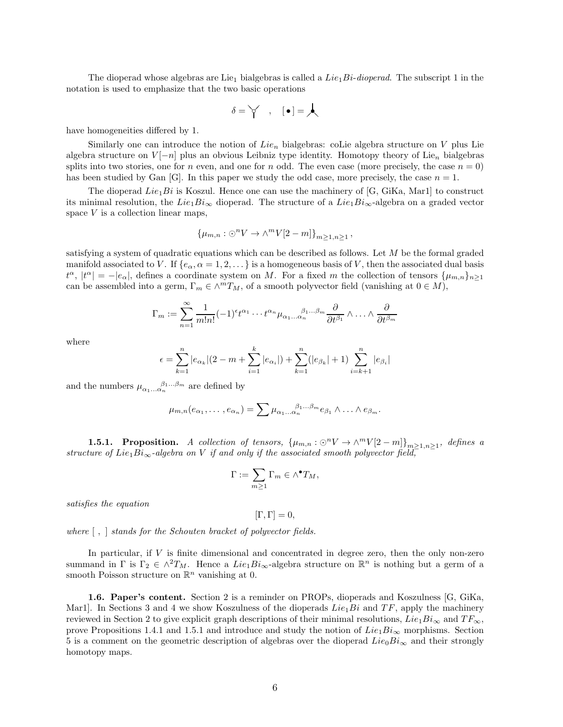The dioperad whose algebras are Lie<sub>1</sub> bialgebras is called a  $Lie_1Bi\text{-}dioperal$ . The subscript 1 in the notation is used to emphasize that the two basic operations

$$
\delta = \bigvee_i \quad , \quad [\bullet] = \bigwedge
$$

have homogeneities differed by 1.

Similarly one can introduce the notion of  $Lie_n$  bialgebras: coLie algebra structure on V plus Lie algebra structure on  $V[-n]$  plus an obvious Leibniz type identity. Homotopy theory of Lie<sub>n</sub> bialgebras splits into two stories, one for n even, and one for n odd. The even case (more precisely, the case  $n = 0$ ) has been studied by Gan  $[G]$ . In this paper we study the odd case, more precisely, the case  $n = 1$ .

The dioperad  $Lie_1Bi$  is Koszul. Hence one can use the machinery of [G, GiKa, Mar1] to construct its minimal resolution, the Lie<sub>1</sub>Bi<sub>∞</sub> dioperad. The structure of a Lie<sub>1</sub>Bi<sub>∞</sub>-algebra on a graded vector space  $V$  is a collection linear maps,

$$
\{\mu_{m,n} : \odot^n V \to \wedge^m V[2-m]\}_{m \ge 1, n \ge 1},
$$

satisfying a system of quadratic equations which can be described as follows. Let M be the formal graded manifold associated to V. If  $\{e_{\alpha}, \alpha = 1, 2, \dots\}$  is a homogeneous basis of V, then the associated dual basis  $t^{\alpha}$ ,  $|t^{\alpha}| = -|e_{\alpha}|$ , defines a coordinate system on M. For a fixed m the collection of tensors  $\{\mu_{m,n}\}_{n\geq 1}$ can be assembled into a germ,  $\Gamma_m \in \wedge^m T_M$ , of a smooth polyvector field (vanishing at  $0 \in M$ ),

$$
\Gamma_m := \sum_{n=1}^{\infty} \frac{1}{m!n!} (-1)^{\epsilon} t^{\alpha_1} \cdots t^{\alpha_n} \mu_{\alpha_1 \ldots \alpha_n}^{\beta_1 \ldots \beta_m} \frac{\partial}{\partial t^{\beta_1}} \wedge \ldots \wedge \frac{\partial}{\partial t^{\beta_m}}
$$

where

$$
\epsilon = \sum_{k=1}^{n} |e_{\alpha_k}|(2 - m + \sum_{i=1}^{k} |e_{\alpha_i}|) + \sum_{k=1}^{n} (|e_{\beta_k}| + 1) \sum_{i=k+1}^{n} |e_{\beta_i}|
$$

and the numbers  $\mu_{\alpha_1...\alpha_n}^{\beta_1...\beta_m}$  are defined by

$$
\mu_{m,n}(e_{\alpha_1},\ldots,e_{\alpha_n})=\sum \mu_{\alpha_1\ldots\alpha_n}^{\beta_1\ldots\beta_m}e_{\beta_1}\wedge\ldots\wedge e_{\beta_m}.
$$

**1.5.1.** Proposition. A collection of tensors,  $\{\mu_{m,n} : \odot^n V \to \wedge^m V[2-m]\}_{m \geq 1, n \geq 1}$ , defines a structure of Lie<sub>1</sub>Bi<sub>∞</sub>-algebra on V if and only if the associated smooth polyvector field,

$$
\Gamma:=\sum_{m\geq 1}\Gamma_m\in \wedge^\bullet T_M,
$$

satisfies the equation

 $[\Gamma, \Gamma] = 0,$ 

where [ , ] stands for the Schouten bracket of polyvector fields.

In particular, if  $V$  is finite dimensional and concentrated in degree zero, then the only non-zero summand in  $\Gamma$  is  $\Gamma_2 \in \wedge^2 T_M$ . Hence a  $Lie_1 Bi_{\infty}$ -algebra structure on  $\mathbb{R}^n$  is nothing but a germ of a smooth Poisson structure on  $\mathbb{R}^n$  vanishing at 0.

1.6. Paper's content. Section 2 is a reminder on PROPs, dioperads and Koszulness [G, GiKa, Mar1. In Sections 3 and 4 we show Koszulness of the dioperads  $Lie_1Bi$  and  $TF$ , apply the machinery reviewed in Section 2 to give explicit graph descriptions of their minimal resolutions,  $Lie_1Bi_{\infty}$  and  $TF_{\infty}$ , prove Propositions 1.4.1 and 1.5.1 and introduce and study the notion of  $Lie_1Bi_{\infty}$  morphisms. Section 5 is a comment on the geometric description of algebras over the dioperad  $Lie_0Bi_{\infty}$  and their strongly homotopy maps.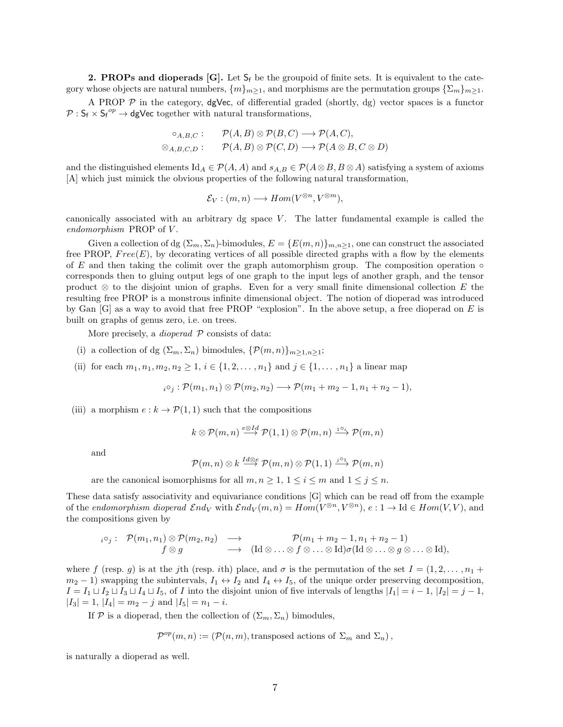**2. PROPs and dioperads [G].** Let  $S_f$  be the groupoid of finite sets. It is equivalent to the category whose objects are natural numbers,  $\{m\}_{m>1}$ , and morphisms are the permutation groups  $\{\Sigma_m\}_{m>1}$ .

A PROP  $P$  in the category, dgVec, of differential graded (shortly, dg) vector spaces is a functor  $\mathcal{P}: \mathsf{S}_{\mathsf{f}} \times \mathsf{S}_{\mathsf{f}}^{op} \to \mathsf{dgVec}$  together with natural transformations,

$$
\circ_{A,B,C} : \quad \mathcal{P}(A,B) \otimes \mathcal{P}(B,C) \longrightarrow \mathcal{P}(A,C),
$$
  

$$
\otimes_{A,B,C,D} : \quad \mathcal{P}(A,B) \otimes \mathcal{P}(C,D) \longrightarrow \mathcal{P}(A \otimes B, C \otimes D)
$$

and the distinguished elements  $\mathrm{Id}_A \in \mathcal{P}(A, A)$  and  $s_{A,B} \in \mathcal{P}(A \otimes B, B \otimes A)$  satisfying a system of axioms [A] which just mimick the obvious properties of the following natural transformation,

$$
\mathcal{E}_V : (m, n) \longrightarrow Hom(V^{\otimes n}, V^{\otimes m}),
$$

canonically associated with an arbitrary dg space  $V$ . The latter fundamental example is called the endomorphism PROP of V.

Given a collection of dg  $(\Sigma_m, \Sigma_n)$ -bimodules,  $E = \{E(m, n)\}_{m,n \geq 1}$ , one can construct the associated free PROP,  $Free(E)$ , by decorating vertices of all possible directed graphs with a flow by the elements of E and then taking the colimit over the graph automorphism group. The composition operation  $\circ$ corresponds then to gluing output legs of one graph to the input legs of another graph, and the tensor product  $\otimes$  to the disjoint union of graphs. Even for a very small finite dimensional collection E the resulting free PROP is a monstrous infinite dimensional object. The notion of dioperad was introduced by Gan  $[G]$  as a way to avoid that free PROP "explosion". In the above setup, a free dioperad on E is built on graphs of genus zero, i.e. on trees.

More precisely, a *dioperad*  $P$  consists of data:

- (i) a collection of dg  $(\Sigma_m, \Sigma_n)$  bimodules,  $\{\mathcal{P}(m, n)\}_{m>1,n>1}$ ;
- (ii) for each  $m_1, n_1, m_2, n_2 \geq 1$ ,  $i \in \{1, 2, ..., n_1\}$  and  $j \in \{1, ..., n_1\}$  a linear map

$$
{}_{i}\circ_{j}:\mathcal{P}(m_1,n_1)\otimes\mathcal{P}(m_2,n_2)\longrightarrow\mathcal{P}(m_1+m_2-1,n_1+n_2-1),
$$

(iii) a morphism  $e : k \to \mathcal{P}(1,1)$  such that the compositions

$$
k \otimes \mathcal{P}(m,n) \stackrel{e \otimes Id}{\longrightarrow} \mathcal{P}(1,1) \otimes \mathcal{P}(m,n) \stackrel{1 \circ i}{\longrightarrow} \mathcal{P}(m,n)
$$

and

$$
\mathcal{P}(m,n) \otimes k \stackrel{Id \otimes e}{\longrightarrow} \mathcal{P}(m,n) \otimes \mathcal{P}(1,1) \stackrel{j \circ 1}{\longrightarrow} \mathcal{P}(m,n)
$$

are the canonical isomorphisms for all  $m, n \geq 1, 1 \leq i \leq m$  and  $1 \leq j \leq n$ .

These data satisfy associativity and equivariance conditions [G] which can be read off from the example of the endomorphism dioperad  $\mathcal{E}nd_V$  with  $\mathcal{E}nd_V(m,n) = Hom(V^{\otimes n}, V^{\otimes n})$ ,  $e: 1 \to \text{Id} \in Hom(V, V)$ , and the compositions given by

$$
i^{\circ j}: \mathcal{P}(m_1,n_1) \otimes \mathcal{P}(m_2,n_2) \longrightarrow \mathcal{P}(m_1+m_2-1,n_1+n_2-1) \nf \otimes g \longrightarrow (Id \otimes \ldots \otimes f \otimes \ldots \otimes Id)\sigma(Id \otimes \ldots \otimes g \otimes \ldots \otimes Id),
$$

where f (resp. g) is at the jth (resp. ith) place, and  $\sigma$  is the permutation of the set  $I = (1, 2, \ldots, n_1 + \cdots + n_n)$  $m_2 - 1$ ) swapping the subintervals,  $I_1 \leftrightarrow I_2$  and  $I_4 \leftrightarrow I_5$ , of the unique order preserving decomposition,  $I = I_1 \sqcup I_2 \sqcup I_3 \sqcup I_4 \sqcup I_5$ , of I into the disjoint union of five intervals of lengths  $|I_1| = i - 1$ ,  $|I_2| = j - 1$ ,  $|I_3| = 1, |I_4| = m_2 - j$  and  $|I_5| = n_1 - i$ .

If P is a dioperad, then the collection of  $(\Sigma_m, \Sigma_n)$  bimodules,

$$
\mathcal{P}^{op}(m,n) := (\mathcal{P}(n,m), \text{transposed actions of } \Sigma_m \text{ and } \Sigma_n),
$$

is naturally a dioperad as well.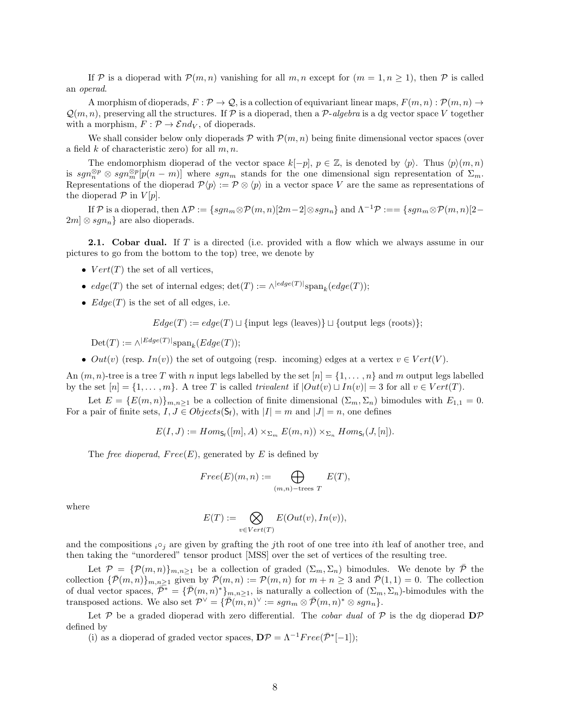If P is a dioperad with  $\mathcal{P}(m, n)$  vanishing for all m, n except for  $(m = 1, n \ge 1)$ , then P is called an operad.

A morphism of dioperads,  $F: \mathcal{P} \to \mathcal{Q}$ , is a collection of equivariant linear maps,  $F(m, n): \mathcal{P}(m, n) \to$  $\mathcal{Q}(m, n)$ , preserving all the structures. If P is a dioperad, then a P-algebra is a dg vector space V together with a morphism,  $F : \mathcal{P} \to \mathcal{E}nd_V$ , of dioperads.

We shall consider below only dioperads  $\mathcal P$  with  $\mathcal P(m, n)$  being finite dimensional vector spaces (over a field k of characteristic zero) for all  $m, n$ .

The endomorphism dioperad of the vector space  $k[-p], p \in \mathbb{Z}$ , is denoted by  $\langle p \rangle$ . Thus  $\langle p \rangle(m, n)$ is  $sgn_{m}^{\otimes p} \otimes sgn_{m}^{\otimes p}[p(n-m)]$  where  $sgn_{m}$  stands for the one dimensional sign representation of  $\Sigma_{m}$ . Representations of the dioperad  $\mathcal{P}\langle p \rangle := \mathcal{P} \otimes \langle p \rangle$  in a vector space V are the same as representations of the dioperad  $P$  in  $V[p]$ .

If P is a dioperad, then  $\Lambda \mathcal{P} := \{sgn_m \otimes \mathcal{P}(m, n)[2m-2] \otimes sgn_n\}$  and  $\Lambda^{-1} \mathcal{P} := \{sgn_m \otimes \mathcal{P}(m, n)[2-\Lambda] \otimes sgn_n\}$  $2m \otimes sgn_n$  are also dioperads.

**2.1.** Cobar dual. If  $T$  is a directed (i.e. provided with a flow which we always assume in our pictures to go from the bottom to the top) tree, we denote by

- $Vert(T)$  the set of all vertices,
- $edge(T)$  the set of internal edges;  $\det(T) := \wedge^{|edge(T)|} \text{span}_k(edge(T));$
- $Edge(T)$  is the set of all edges, i.e.

 $Edge(T) := edge(T) \sqcup \{ \text{input legs (leaves)} \} \sqcup \{ \text{output legs (roots)} \};$ 

 $\mathrm{Det}(T) := \wedge^{|Edge(T)|} \mathrm{span}_k(Edge(T));$ 

•  $Out(v)$  (resp.  $In(v)$ ) the set of outgoing (resp. incoming) edges at a vertex  $v \in Vert(V)$ .

An  $(m, n)$ -tree is a tree T with n input legs labelled by the set  $[n] = \{1, \ldots, n\}$  and m output legs labelled by the set  $[n] = \{1, \ldots, m\}$ . A tree T is called trivalent if  $|Out(v) \sqcup In(v)| = 3$  for all  $v \in Vert(T)$ .

Let  $E = \{E(m, n)\}_{m,n \geq 1}$  be a collection of finite dimensional  $(\Sigma_m, \Sigma_n)$  bimodules with  $E_{1,1} = 0$ . For a pair of finite sets,  $I, J \in Objects(S_f)$ , with  $|I| = m$  and  $|J| = n$ , one defines

$$
E(I, J) := Hom_{\mathsf{S}_{\mathsf{f}}}(m, A) \times_{\Sigma_m} E(m, n)) \times_{\Sigma_n} Hom_{\mathsf{S}_{\mathsf{f}}}(J, [n]).
$$

The *free dioperad, Free(E)*, generated by E is defined by

$$
Free(E)(m,n) := \bigoplus_{(m,n)-\text{trees }T} E(T),
$$

where

$$
E(T) := \bigotimes_{v \in Vert(T)} E(Out(v), In(v)),
$$

and the compositions  $i \circ j$  are given by grafting the jth root of one tree into ith leaf of another tree, and then taking the "unordered" tensor product [MSS] over the set of vertices of the resulting tree.

Let  $\mathcal{P} = {\{\mathcal{P}(m,n)\}}_{m,n \geq 1}$  be a collection of graded  $(\Sigma_m, \Sigma_n)$  bimodules. We denote by  $\bar{\mathcal{P}}$  the collection  $\{\bar{\mathcal{P}}(m,n)\}_{m,n\geq 1}$  given by  $\bar{\mathcal{P}}(m,n) := \mathcal{P}(m,n)$  for  $m+n\geq 3$  and  $\bar{\mathcal{P}}(1,1) = 0$ . The collection of dual vector spaces,  $\overline{\mathcal{P}}^* = {\overline{\mathcal{P}}(m,n)^*}_{m,n \geq 1}$ , is naturally a collection of  $(\Sigma_m, \Sigma_n)$ -bimodules with the transposed actions. We also set  $\mathcal{P}^{\vee} = \{ \overline{\mathcal{P}}(m,n)^{\vee} := sgn_m \otimes \overline{\mathcal{P}}(m,n)^* \otimes sgn_n \}.$ 

Let P be a graded dioperad with zero differential. The *cobar dual* of P is the dg dioperad  $\mathbf{D}P$ defined by

(i) as a dioperad of graded vector spaces,  $\mathbf{D}\mathcal{P} = \Lambda^{-1} Free(\bar{\mathcal{P}}^*[-1])$ ;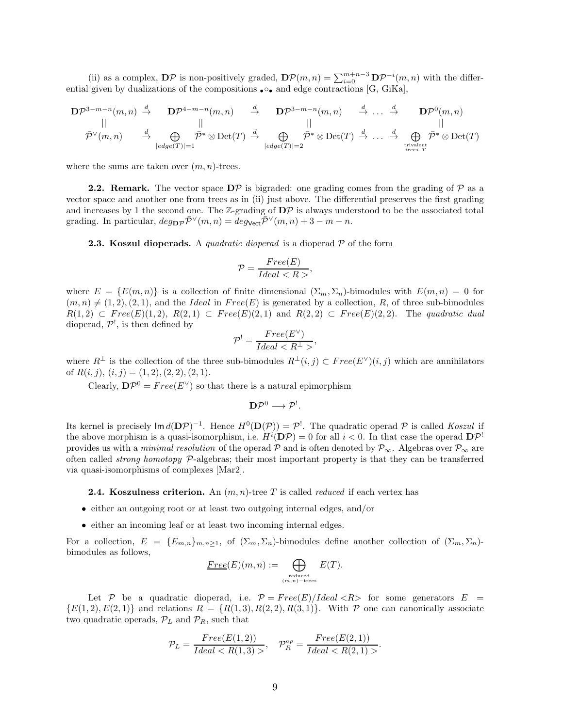(ii) as a complex,  $\mathbf{D}P$  is non-positively graded,  $\mathbf{D}P(m,n) = \sum_{i=0}^{m+n-3} \mathbf{D}P^{-i}(m,n)$  with the differential given by dualizations of the compositions  $\bullet \circ \bullet$  and edge contractions [G, GiKa],

$$
\mathbf{D}\mathcal{P}^{3-m-n}(m,n) \stackrel{d}{\rightarrow} \mathbf{D}\mathcal{P}^{4-m-n}(m,n) \stackrel{d}{\rightarrow} \mathbf{D}\mathcal{P}^{3-m-n}(m,n) \stackrel{d}{\rightarrow} \dots \stackrel{d}{\rightarrow} \mathbf{D}\mathcal{P}^{0}(m,n)
$$
  
\n
$$
\stackrel{d}{\mathcal{P}}\vee(m,n) \stackrel{d}{\rightarrow} \bigoplus_{|\text{edge}(T)|=1} \stackrel{\mathcal{P}^*}{\mathcal{P}^*} \otimes \mathrm{Det}(T) \stackrel{d}{\rightarrow} \bigoplus_{|\text{edge}(T)|=2} \stackrel{\mathcal{P}^*}{\mathcal{P}^*} \otimes \mathrm{Det}(T) \stackrel{d}{\rightarrow} \dots \stackrel{d}{\rightarrow} \bigoplus_{\text{trivelent}\atop \text{trees }T} \stackrel{\mathcal{P}^*}{\mathcal{P}^*} \otimes \mathrm{Det}(T)
$$

where the sums are taken over  $(m, n)$ -trees.

**2.2. Remark.** The vector space  $D\mathcal{P}$  is bigraded: one grading comes from the grading of  $\mathcal{P}$  as a vector space and another one from trees as in (ii) just above. The differential preserves the first grading and increases by 1 the second one. The  $\mathbb{Z}$ -grading of  $\mathbf{D} \mathcal{P}$  is always understood to be the associated total grading. In particular,  $deg_{\mathbf{D}P} \bar{\mathcal{P}}^{\vee}(m, n) = deg_{\mathbf{Vect}} \bar{\mathcal{P}}^{\vee}(m, n) + 3 - m - n$ .

**2.3. Koszul dioperads.** A *quadratic dioperad* is a dioperad  $P$  of the form

$$
\mathcal{P} = \frac{Free(E)}{Ideal < R} \,,
$$

where  $E = \{E(m, n)\}\$ is a collection of finite dimensional  $(\Sigma_m, \Sigma_n)$ -bimodules with  $E(m, n) = 0$  for  $(m, n) \neq (1, 2), (2, 1)$ , and the Ideal in  $Free(E)$  is generated by a collection, R, of three sub-bimodules  $R(1,2) \subset Free(E)(1,2), R(2,1) \subset Free(E)(2,1)$  and  $R(2,2) \subset Free(E)(2,2).$  The quadratic dual dioperad,  $\mathcal{P}^!$ , is then defined by

$$
\mathcal{P}^! = \frac{Free(E^{\vee})}{Ideal < R^{\perp} >},
$$

where  $R^{\perp}$  is the collection of the three sub-bimodules  $R^{\perp}(i,j) \subset Free(E^{\vee})(i,j)$  which are annihilators of  $R(i, j), (i, j) = (1, 2), (2, 2), (2, 1).$ 

Clearly,  $\mathbf{D}P^0 = Free(E^{\vee})$  so that there is a natural epimorphism

$$
\mathbf{D} \mathcal{P}^0 \longrightarrow \mathcal{P}^!.
$$

Its kernel is precisely  $\text{Im } d(D\mathcal{P})^{-1}$ . Hence  $H^0(D(\mathcal{P})) = \mathcal{P}^!$ . The quadratic operad  $\mathcal P$  is called Koszul if the above morphism is a quasi-isomorphism, i.e.  $H^i(\mathbf{D}\mathcal{P}) = 0$  for all  $i < 0$ . In that case the operad  $\mathbf{D}\mathcal{P}^!$ provides us with a *minimal resolution* of the operad P and is often denoted by  $\mathcal{P}_{\infty}$ . Algebras over  $\mathcal{P}_{\infty}$  are often called strong homotopy P-algebras; their most important property is that they can be transferred via quasi-isomorphisms of complexes [Mar2].

**2.4.** Koszulness criterion. An  $(m, n)$ -tree T is called *reduced* if each vertex has

- either an outgoing root or at least two outgoing internal edges, and/or
- either an incoming leaf or at least two incoming internal edges.

For a collection,  $E = \{E_{m,n}\}_{m,n\geq 1}$ , of  $(\Sigma_m, \Sigma_n)$ -bimodules define another collection of  $(\Sigma_m, \Sigma_n)$ bimodules as follows,

$$
\underline{Free}(E)(m,n) := \bigoplus_{\substack{\text{reduced} \\ (m,n)-\text{trees}}} E(T).
$$

Let P be a quadratic dioperad, i.e.  $P = Free(E)/Ideal \langle R \rangle$  for some generators  $E =$  ${E(1, 2), E(2, 1)}$  and relations  $R = {R(1, 3), R(2, 2), R(3, 1)}.$  With  $P$  one can canonically associate two quadratic operads,  $\mathcal{P}_L$  and  $\mathcal{P}_R$ , such that

$$
\mathcal{P}_L = \frac{Free(E(1,2))}{Ideal < R(1,3) >}, \quad \mathcal{P}_R^{op} = \frac{Free(E(2,1))}{Ideal < R(2,1) >}.
$$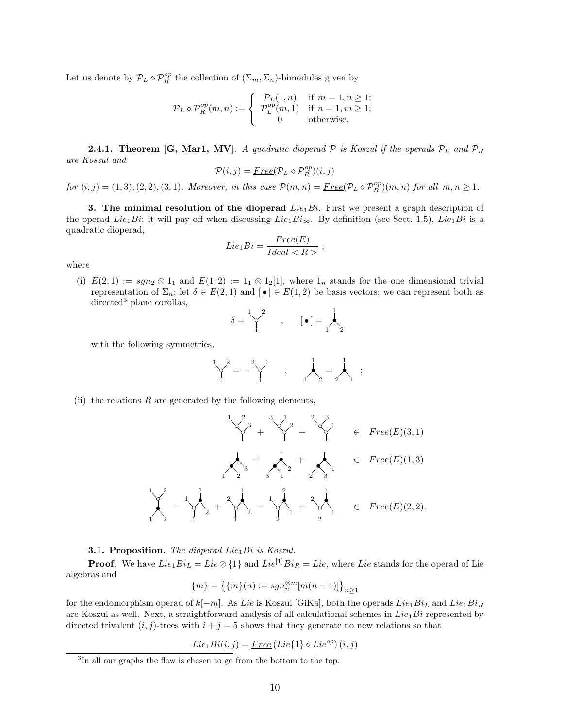Let us denote by  $\mathcal{P}_L \diamond \mathcal{P}_R^{op}$  the collection of  $(\Sigma_m, \Sigma_n)$ -bimodules given by

$$
\mathcal{P}_L \diamond \mathcal{P}_R^{op}(m, n) := \begin{cases} \mathcal{P}_L(1, n) & \text{if } m = 1, n \ge 1; \\ \mathcal{P}_L^{op}(m, 1) & \text{if } n = 1, m \ge 1; \\ 0 & \text{otherwise.} \end{cases}
$$

**2.4.1. Theorem [G, Mar1, MV]**. A quadratic dioperad  $P$  is Koszul if the operads  $P_L$  and  $P_R$ are Koszul and

$$
\mathcal{P}(i,j) = \underline{Free}(\mathcal{P}_L\diamond \mathcal{P}_R^{op})(i,j)
$$

 $for (i, j) = (1, 3), (2, 2), (3, 1).$  Moreover, in this case  $\mathcal{P}(m, n) = \underline{Free}(\mathcal{P}_L \diamond \mathcal{P}_R^{op})(m, n)$  for all  $m, n \geq 1$ .

3. The minimal resolution of the dioperad  $Lie_1Bi$ . First we present a graph description of the operad Lie<sub>1</sub>Bi; it will pay off when discussing Lie<sub>1</sub>Bi<sub>∞</sub>. By definition (see Sect. 1.5), Lie<sub>1</sub>Bi is a quadratic dioperad,

$$
Lie_1 Bi = \frac{Free(E)}{Ideal < R} \ ,
$$

where

(i)  $E(2,1) := sgn_2 \otimes 1_1$  and  $E(1,2) := 1_1 \otimes 1_2[1]$ , where  $1_n$  stands for the one dimensional trivial representation of  $\Sigma_n$ ; let  $\delta \in E(2,1)$  and  $\lbrack \bullet \rbrack \in E(1,2)$  be basis vectors; we can represent both as  $directed<sup>3</sup>$  plane corollas,

$$
\delta = \bigvee_1^2 \qquad , \qquad [\bullet] = \bigwedge_2^1
$$

with the following symmetries,

$$
\begin{bmatrix} 1 & 2 \\ 1 & 1 \end{bmatrix} = -\begin{bmatrix} 2 & 1 \\ 1 & 1 \end{bmatrix}, \qquad \begin{bmatrix} 1 & 1 \\ 1 & 2 \end{bmatrix} = \begin{bmatrix} 1 \\ 1 \end{bmatrix},
$$

(ii) the relations  $R$  are generated by the following elements,

$$
\frac{1}{\gamma^2} + \frac{3}{\gamma^2} + \frac{3}{\gamma^2}
$$
\n
$$
= \text{Free}(E)(3,1)
$$
\n
$$
\frac{1}{\gamma^2} - \frac{1}{\gamma^2} + \frac{2}{\gamma^2} + \frac{1}{\gamma^2} - \frac{1}{\gamma^2} + \frac{2}{\gamma^2} - \frac{1}{\gamma^2} + \frac{2}{\gamma^2} + \frac{2}{\gamma^2} + \frac{2}{\gamma^2} + \frac{2}{\gamma^2} + \frac{2}{\gamma^2} + \frac{2}{\gamma^2} + \frac{2}{\gamma^2} + \frac{2}{\gamma^2} + \frac{2}{\gamma^2} + \frac{2}{\gamma^2} + \frac{2}{\gamma^2} + \frac{2}{\gamma^2} + \frac{2}{\gamma^2} + \frac{2}{\gamma^2} + \frac{2}{\gamma^2} + \frac{2}{\gamma^2} + \frac{2}{\gamma^2} + \frac{2}{\gamma^2} + \frac{2}{\gamma^2} + \frac{2}{\gamma^2} + \frac{2}{\gamma^2} + \frac{2}{\gamma^2} + \frac{2}{\gamma^2} + \frac{2}{\gamma^2} + \frac{2}{\gamma^2} + \frac{2}{\gamma^2} + \frac{2}{\gamma^2} + \frac{2}{\gamma^2} + \frac{2}{\gamma^2} + \frac{2}{\gamma^2} + \frac{2}{\gamma^2} + \frac{2}{\gamma^2} + \frac{2}{\gamma^2} + \frac{2}{\gamma^2} + \frac{2}{\gamma^2} + \frac{2}{\gamma^2} + \frac{2}{\gamma^2} + \frac{2}{\gamma^2} + \frac{2}{\gamma^2} + \frac{2}{\gamma^2} + \frac{2}{\gamma^2} + \frac{2}{\gamma^2} + \frac{2}{\gamma^2} + \frac{2}{\gamma^2} + \frac{2}{\gamma^2} + \frac{2}{\gamma^2} + \frac{2}{\gamma^2} + \frac{2}{\gamma^2} + \frac{2}{\gamma^2} + \frac{2}{\gamma} + \frac{2}{\gamma} + \frac{2}{\gamma} + \frac{2}{\gamma} + \frac{2}{\gamma} + \frac{2}{\gamma} + \frac{2}{\gamma} + \frac{2}{\gamma} + \frac{2}{\gamma} + \frac
$$

**3.1. Proposition.** The dioperad Lie<sub>1</sub>Bi is Koszul.

**Proof.** We have  $Lie_1Bi_L = Lie \otimes \{1\}$  and  $Lie^{[1]}Bi_R = Lie$ , where Lie stands for the operad of Lie algebras and

$$
\{m\} = \{\{m\}(n) := sgn_n^{\otimes m}[m(n-1)]\}_{n \ge 1}
$$

for the endomorphism operad of  $k[-m]$ . As Lie is Koszul [GiKa], both the operads Lie<sub>1</sub>Bi<sub>L</sub> and Lie<sub>1</sub>Bi<sub>R</sub> are Koszul as well. Next, a straightforward analysis of all calculational schemes in  $Lie_1Bi$  represented by directed trivalent  $(i, j)$ -trees with  $i + j = 5$  shows that they generate no new relations so that

$$
Lie_1Bi(i,j) = \underline{Free} (Lie\{1\} \diamond Lie^{op})(i,j)
$$

<sup>&</sup>lt;sup>3</sup>In all our graphs the flow is chosen to go from the bottom to the top.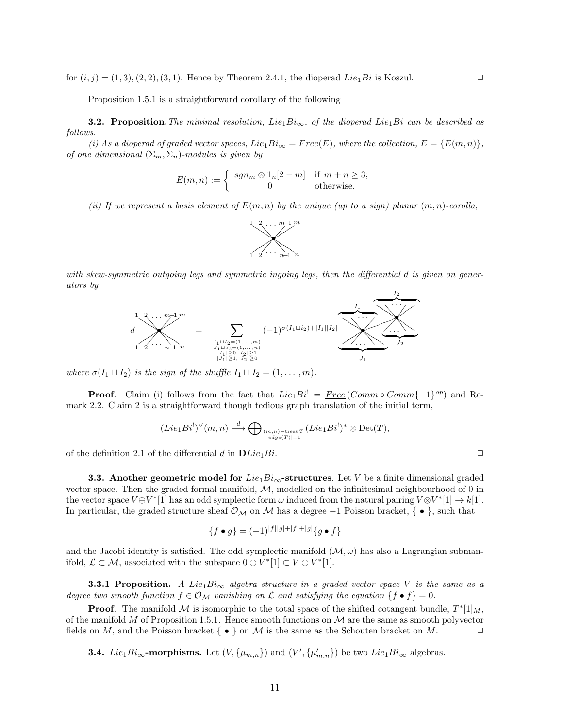for  $(i, j) = (1, 3), (2, 2), (3, 1)$ . Hence by Theorem 2.4.1, the dioperad Lie<sub>1</sub>Bi is Koszul.

Proposition 1.5.1 is a straightforward corollary of the following

**3.2.** Proposition. The minimal resolution, Lie<sub>1</sub>Bi<sub>∞</sub>, of the dioperad Lie<sub>1</sub>Bi can be described as follows.

(i) As a dioperad of graded vector spaces,  $Lie_1 Bi_{\infty} = Free(E)$ , where the collection,  $E = {E(m,n)}$ , of one dimensional  $(\Sigma_m, \Sigma_n)$ -modules is given by

$$
E(m, n) := \begin{cases} sgn_m \otimes 1_n[2 - m] & \text{if } m + n \ge 3; \\ 0 & \text{otherwise.} \end{cases}
$$

(ii) If we represent a basis element of  $E(m, n)$  by the unique (up to a sign) planar  $(m, n)$ -corolla,



with skew-symmetric outgoing legs and symmetric ingoing legs, then the differential d is given on generators by



where  $\sigma(I_1 \sqcup I_2)$  is the sign of the shuffle  $I_1 \sqcup I_2 = (1, \ldots, m)$ .

**Proof.** Claim (i) follows from the fact that  $Lie_1Bi' = \underline{Free} (Comm \circ Comm\{-1\}^{op})$  and Remark 2.2. Claim 2 is a straightforward though tedious graph translation of the initial term,

$$
(Lie_1Bi^!)^\vee(m,n)\stackrel{d}{\longrightarrow}\bigoplus_{(m,n)\text{-trees }T\atop \vert edge(T)\vert=1}(Lie_1Bi^!)^*\otimes \mathrm{Det}(T),
$$

of the definition 2.1 of the differential d in  $DLie_1Bi$ .

**3.3.** Another geometric model for  $Lie_1Bi_{\infty}$ -structures. Let V be a finite dimensional graded vector space. Then the graded formal manifold,  $M$ , modelled on the infinitesimal neighbourhood of 0 in the vector space  $V \oplus V^*[1]$  has an odd symplectic form  $\omega$  induced from the natural pairing  $V \otimes V^*[1] \to k[1]$ . In particular, the graded structure sheaf  $\mathcal{O}_{\mathcal{M}}$  on  $\mathcal M$  has a degree  $-1$  Poisson bracket, { • }, such that

$$
\{f \bullet g\} = (-1)^{|f||g| + |f| + |g|} \{g \bullet f\}
$$

and the Jacobi identity is satisfied. The odd symplectic manifold  $(M, \omega)$  has also a Lagrangian submanifold,  $\mathcal{L} \subset \mathcal{M}$ , associated with the subspace  $0 \oplus V^*[1] \subset V \oplus V^*[1]$ .

**3.3.1 Proposition.** A Lie<sub>1</sub>Bi<sub>∞</sub> algebra structure in a graded vector space V is the same as a degree two smooth function  $f \in \mathcal{O}_{\mathcal{M}}$  vanishing on  $\mathcal L$  and satisfying the equation  $\{f \bullet f\} = 0$ .

**Proof.** The manifold M is isomorphic to the total space of the shifted cotangent bundle,  $T^*[1]_M$ , of the manifold M of Proposition 1.5.1. Hence smooth functions on  $\mathcal M$  are the same as smooth polyvector fields on M, and the Poisson bracket  $\{\bullet\}$  on M is the same as the Schouten bracket on M.

11

**3.4.** Lie<sub>1</sub> $Bi_{\infty}$ -morphisms. Let  $(V, \{\mu_{m,n}\})$  and  $(V', \{\mu'_{m,n}\})$  be two Lie<sub>1</sub> $Bi_{\infty}$  algebras.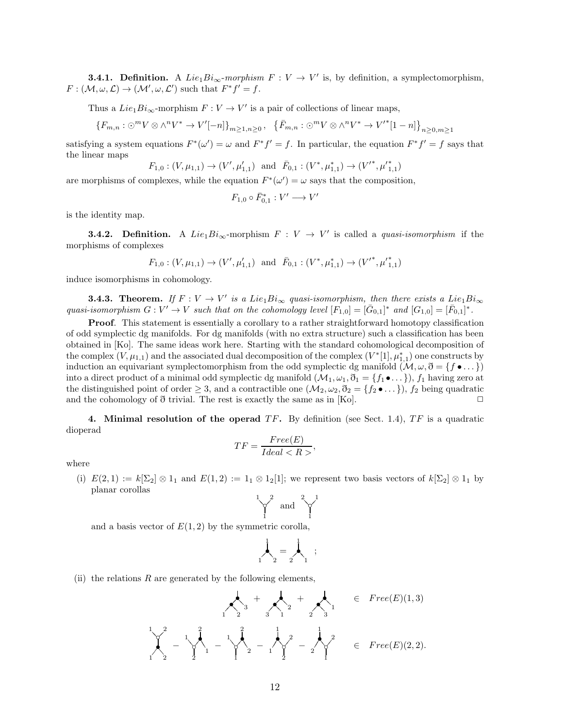**3.4.1. Definition.** A  $Lie_1 Bi_{\infty}$ -morphism  $F: V \to V'$  is, by definition, a symplectomorphism,  $F: (\mathcal{M}, \omega, \mathcal{L}) \to (\mathcal{M}', \omega, \mathcal{L}')$  such that  $F^*f' = f$ .

Thus a  $Lie_1 Bi_{\infty}$ -morphism  $F: V \to V'$  is a pair of collections of linear maps,

$$
\{F_{m,n}:\bigcirc^m V\otimes\wedge^n V^*\to V'[-n]\}_{m\geq 1,n\geq 0},\ \{\bar{F}_{m,n}:\bigcirc^m V\otimes\wedge^n V^*\to V'^*[1-n]\}_{n\geq 0,m\geq 1}
$$

satisfying a system equations  $F^*(\omega') = \omega$  and  $F^*f' = f$ . In particular, the equation  $F^*f' = f$  says that the linear maps

$$
F_{1,0}:(V,\mu_{1,1})\to (V',\mu_{1,1}')\ \ \text{and}\ \ \bar{F}_{0,1}:(V^*,\mu_{1,1}^*)\to (V'^*,{\mu'}_{1,1}^*)
$$

are morphisms of complexes, while the equation  $F^*(\omega') = \omega$  says that the composition,

$$
F_{1,0}\circ \bar{F}_{0,1}^*:V'\longrightarrow V'
$$

is the identity map.

**3.4.2.** Definition. A Lie<sub>1</sub> $Bi_{\infty}$ -morphism  $F: V \rightarrow V'$  is called a *quasi-isomorphism* if the morphisms of complexes

$$
F_{1,0} : (V, \mu_{1,1}) \to (V', \mu'_{1,1})
$$
 and  $\bar{F}_{0,1} : (V^*, \mu^*_{1,1}) \to (V'^*, {\mu'}^*_{1,1})$ 

induce isomorphisms in cohomology.

**3.4.3. Theorem.** If  $F: V \to V'$  is a Lie<sub>1</sub>Bi<sub>∞</sub> quasi-isomorphism, then there exists a Lie<sub>1</sub>Bi<sub>∞</sub> quasi-isomorphism  $G: V' \to V$  such that on the cohomology level  $[F_{1,0}] = [\bar{G}_{0,1}]^*$  and  $[G_{1,0}] = [\bar{F}_{0,1}]^*$ .

**Proof.** This statement is essentially a corollary to a rather straightforward homotopy classification of odd symplectic dg manifolds. For dg manifolds (with no extra structure) such a classification has been obtained in [Ko]. The same ideas work here. Starting with the standard cohomological decomposition of the complex  $(V, \mu_{1,1})$  and the associated dual decomposition of the complex  $(V^*[1], \mu_{1,1}^*)$  one constructs by induction an equivariant symplectomorphism from the odd symplectic dg manifold  $(\mathcal{M}, \omega, \mathfrak{d} = \{f \bullet \dots\})$ into a direct product of a minimal odd symplectic dg manifold  $(\mathcal{M}_1, \omega_1, \mathcal{O}_1) = \{f_1 \bullet \dots \}$ ,  $f_1$  having zero at the distinguished point of order  $\geq 3$ , and a contractible one  $(\mathcal{M}_2, \omega_2, \mathcal{O}_2 = \{f_2 \bullet \dots \})$ ,  $f_2$  being quadratic and the cohomology of  $\eth$  trivial. The rest is exactly the same as in [Ko].

4. Minimal resolution of the operad  $TF$ . By definition (see Sect. 1.4),  $TF$  is a quadratic dioperad

$$
TF = \frac{Free(E)}{Ideal < R}.
$$

where

(i)  $E(2,1) := k[\Sigma_2] \otimes 1_1$  and  $E(1,2) := 1_1 \otimes 1_2[1]$ ; we represent two basis vectors of  $k[\Sigma_2] \otimes 1_1$  by planar corollas

$$
\bigvee_1^1 \text{ and } \bigvee_1^2
$$

and a basis vector of  $E(1, 2)$  by the symmetric corolla,

$$
\mathbf{1}_{2} = \mathbf{1}_{2} \tag{3}
$$

(ii) the relations R are generated by the following elements,

$$
\frac{1}{1} \sum_{1}^{2} - \frac{1}{2} \sum_{1}^{2} - \frac{1}{1} \sum_{1}^{2} - \frac{1}{1} \sum_{1}^{2} - \frac{1}{1} \sum_{1}^{2} - \frac{1}{2} \sum_{1}^{2} - \frac{1}{2} \sum_{1}^{2} = \text{Free}(E)(2, 2).
$$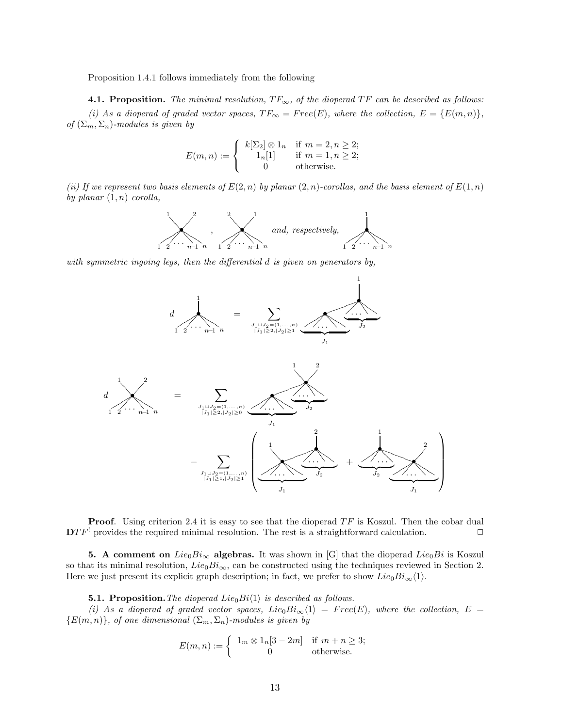Proposition 1.4.1 follows immediately from the following

4.1. Proposition. The minimal resolution,  $TF_{\infty}$ , of the dioperad TF can be described as follows: (i) As a dioperad of graded vector spaces,  $TF_\infty = Free(E)$ , where the collection,  $E = \{E(m,n)\},$ of  $(\Sigma_m, \Sigma_n)$ -modules is given by

$$
E(m, n) := \begin{cases} k[\Sigma_2] \otimes 1_n & \text{if } m = 2, n \ge 2; \\ 1_n[1] & \text{if } m = 1, n \ge 2; \\ 0 & \text{otherwise.} \end{cases}
$$

(ii) If we represent two basis elements of  $E(2, n)$  by planar  $(2, n)$ -corollas, and the basis element of  $E(1, n)$ by planar  $(1, n)$  corolla,



with symmetric ingoing legs, then the differential d is given on generators by,



**Proof.** Using criterion 2.4 it is easy to see that the dioperad  $TF$  is Koszul. Then the cobar dual  $\mathbf{D}TF^!$  provides the required minimal resolution. The rest is a straightforward calculation.  $\Box$ 

5. A comment on  $Lie_0Bi_{\infty}$  algebras. It was shown in [G] that the dioperad  $Lie_0Bi$  is Koszul so that its minimal resolution,  $Lie_0B_i_{\infty}$ , can be constructed using the techniques reviewed in Section 2. Here we just present its explicit graph description; in fact, we prefer to show  $Lie_0Bi_{\infty}\langle 1\rangle$ .

**5.1. Proposition.** The dioperad Lie<sub>0</sub>Bi $\langle 1 \rangle$  is described as follows.

(i) As a dioperad of graded vector spaces,  $Lie_0Bi_\infty\langle 1\rangle = Free(E)$ , where the collection,  $E =$  ${E(m, n)}$ , of one dimensional  $(\Sigma_m, \Sigma_n)$ -modules is given by

$$
E(m, n) := \begin{cases} 1_m \otimes 1_n[3 - 2m] & \text{if } m + n \ge 3; \\ 0 & \text{otherwise.} \end{cases}
$$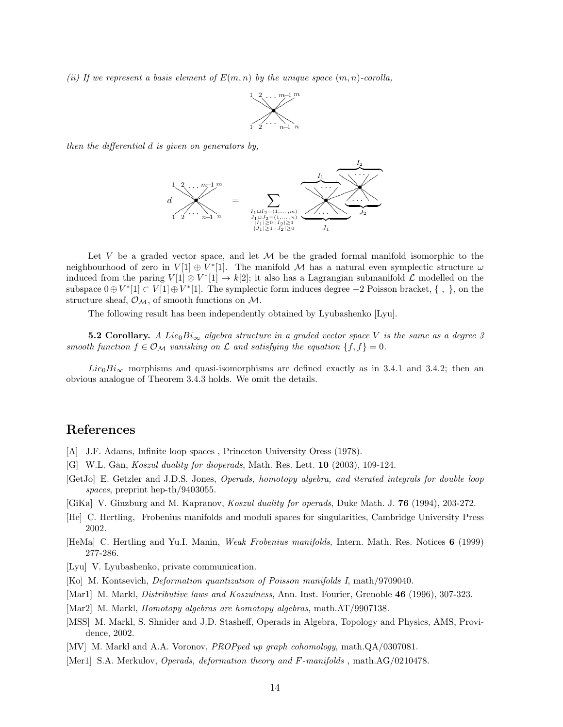(ii) If we represent a basis element of  $E(m, n)$  by the unique space  $(m, n)$ -corolla,



then the differential d is given on generators by,



Let V be a graded vector space, and let  $\mathcal M$  be the graded formal manifold isomorphic to the neighbourhood of zero in  $V[1] \oplus V^*[1]$ . The manifold M has a natural even symplectic structure  $\omega$ induced from the paring  $V[1] \otimes V^*[1] \to k[2]$ ; it also has a Lagrangian submanifold  $\mathcal L$  modelled on the subspace  $0 \oplus V^*[1] \subset V[1] \oplus V^*[1]$ . The symplectic form induces degree  $-2$  Poisson bracket,  $\{ , \}$ , on the structure sheaf,  $\mathcal{O}_{\mathcal{M}}$ , of smooth functions on  $\mathcal{M}$ .

The following result has been independently obtained by Lyubashenko [Lyu].

**5.2 Corollary.** A Lie<sub>0</sub>Bi<sub>∞</sub> algebra structure in a graded vector space V is the same as a degree 3 smooth function  $f \in \mathcal{O}_\mathcal{M}$  vanishing on  $\mathcal L$  and satisfying the equation  $\{f, f\} = 0$ .

 $Lie_0Bi_{\infty}$  morphisms and quasi-isomorphisms are defined exactly as in 3.4.1 and 3.4.2; then an obvious analogue of Theorem 3.4.3 holds. We omit the details.

## References

- [A] J.F. Adams, Infinite loop spaces, Princeton University Oress (1978).
- [G] W.L. Gan, Koszul duality for dioperads, Math. Res. Lett. 10 (2003), 109-124.
- [GetJo] E. Getzler and J.D.S. Jones, Operads, homotopy algebra, and iterated integrals for double loop spaces, preprint hep-th/9403055.
- [GiKa] V. Ginzburg and M. Kapranov, Koszul duality for operads, Duke Math. J. 76 (1994), 203-272.
- [He] C. Hertling, Frobenius manifolds and moduli spaces for singularities, Cambridge University Press 2002.
- [HeMa] C. Hertling and Yu.I. Manin, Weak Frobenius manifolds, Intern. Math. Res. Notices 6 (1999) 277-286.

[Lyu] V. Lyubashenko, private communication.

- [Ko] M. Kontsevich, Deformation quantization of Poisson manifolds I, math/9709040.
- [Mar1] M. Markl, Distributive laws and Koszulness, Ann. Inst. Fourier, Grenoble 46 (1996), 307-323.
- [Mar2] M. Markl, Homotopy algebras are homotopy algebras, math.AT/9907138.
- [MSS] M. Markl, S. Shnider and J.D. Stasheff, Operads in Algebra, Topology and Physics, AMS, Providence, 2002.

[MV] M. Markl and A.A. Voronov, PROPped up graph cohomology, math.QA/0307081.

[Mer1] S.A. Merkulov, *Operads, deformation theory and F-manifolds*, math.AG/0210478.